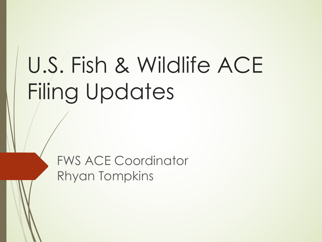# U.S. Fish & Wildlife ACE Filing Updates

FWS ACE Coordinator Rhyan Tompkins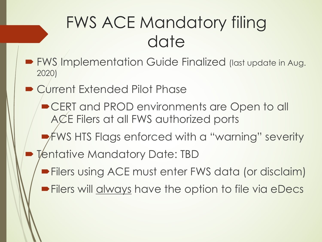### FWS ACE Mandatory filing date

- FWS Implementation Guide Finalized (last update in Aug. 2020)
- Current Extended Pilot Phase
	- CERT and PROD environments are Open to all ACE Filers at all FWS authorized ports
	- $\rightarrow$  FWS HTS Flags enforced with a "warning" severity
- Tentative Mandatory Date: TBD
	- **Filers using ACE must enter FWS data (or disclaim)**
	- **Filers will always have the option to file via eDecs**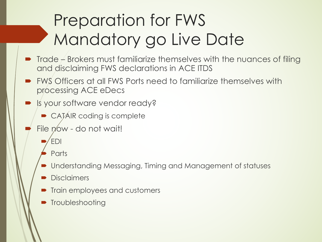# Preparation for FWS Mandatory go Live Date

- $\blacksquare$  Trade Brokers must familiarize themselves with the nuances of filing and disclaiming FWS declarations in ACE ITDS
- ´ FWS Officers at all FWS Ports need to familiarize themselves with processing ACE eDecs
- Is your software vendor ready?
	- $\bullet$  CATÁIR coding is complete
- File now do not wait!
	- ´ EDI
	- Parts
	- Understanding Messaging, Timing and Management of statuses
	- Disclaimers
	- Train employees and customers
	- $\blacksquare$  Troubleshooting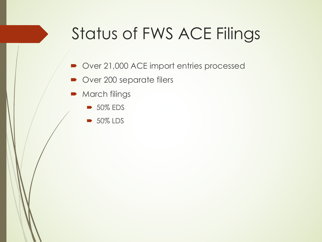## Status of FWS ACE Filings

- Over 21,000 ACE import entries processed
- Over 200 separate filers
- March filings
	- $\rightarrow$  50% EDS
	- ´ 50% LDS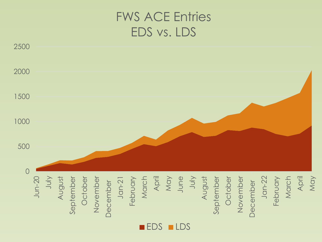#### FWS ACE Entries EDS vs. LDS



**EDS** LDS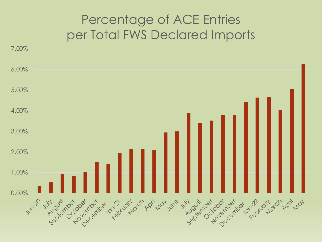#### Percentage of ACE Entries per Total FWS Declared Imports

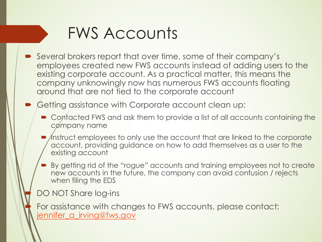### FWS Accounts

Several brokers report that over time, some of their company employees created new FWS accounts instead of adding use existing corporate account. As a practical matter, this means company unknowingly now has numerous FWS accounts floc around that are not tied to the corporate account

[Getting assistance with Co](mailto:jennifer_a_irving@fws.gov)rporate account clean up:

- Contacted FWS and ask them to provide a list of all accounts containing the MS and ask them to provide a list of all accounts co cømpany name
- Instruct employees to only use the account that are linked to the account, providing guidance on how to add themselves as a use existing account
- By getting rid of the "rogue" accounts and training employees not new accounts in the future, the company can avoid confusion / when filing the EDS

DO NOT Share log-ins

For assistance with changes to FWS accounts, please contaction jennifer\_a\_irving@fws.gov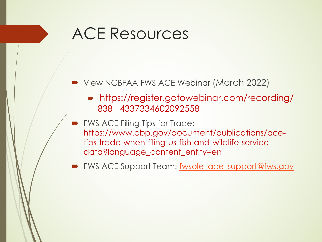### ACE Resources

- View NCBFAA FWS ACE Webinar (March 2022)
	- https://register.gotowebinar.com/record 838 4337334602092558
	- FWS ACE Filing Tips for Trade: https://www.cbp.gov/document/publications/a tips-trade-when-filing-us-fish-and-wildlife-servicedata?language\_content\_entity=en
- FWS ACE Support Team: fwsole\_ace\_support@fw